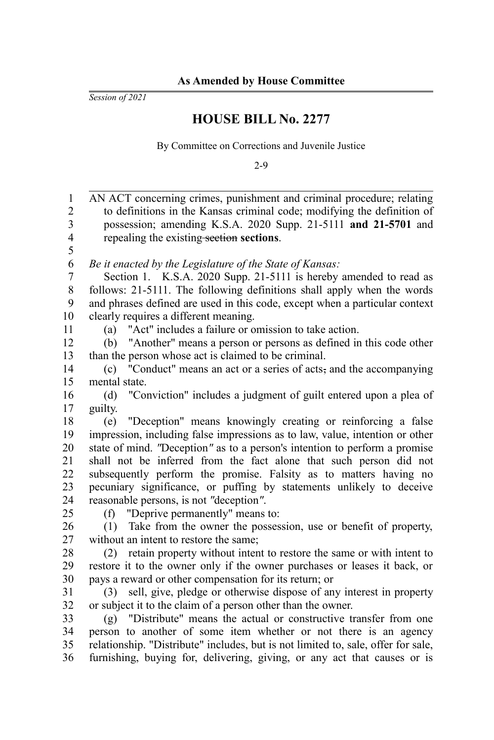*Session of 2021*

## **HOUSE BILL No. 2277**

By Committee on Corrections and Juvenile Justice

2-9

| 1              | AN ACT concerning crimes, punishment and criminal procedure; relating             |
|----------------|-----------------------------------------------------------------------------------|
| $\overline{2}$ | to definitions in the Kansas criminal code; modifying the definition of           |
| 3              | possession; amending K.S.A. 2020 Supp. 21-5111 and 21-5701 and                    |
| $\overline{4}$ | repealing the existing-section sections.                                          |
| 5              |                                                                                   |
| 6              | Be it enacted by the Legislature of the State of Kansas:                          |
| $\overline{7}$ | Section 1. K.S.A. 2020 Supp. 21-5111 is hereby amended to read as                 |
| $\,$ $\,$      | follows: 21-5111. The following definitions shall apply when the words            |
| 9              | and phrases defined are used in this code, except when a particular context       |
| 10             | clearly requires a different meaning.                                             |
| 11             | "Act" includes a failure or omission to take action.<br>(a)                       |
| 12             | "Another" means a person or persons as defined in this code other<br>(b)          |
| 13             | than the person whose act is claimed to be criminal.                              |
| 14             | (c) "Conduct" means an act or a series of acts, and the accompanying              |
| 15             | mental state.                                                                     |
| 16             | "Conviction" includes a judgment of guilt entered upon a plea of<br>(d)           |
| 17             | guilty.                                                                           |
| 18             | "Deception" means knowingly creating or reinforcing a false<br>(e)                |
| 19             | impression, including false impressions as to law, value, intention or other      |
| 20             | state of mind. "Deception" as to a person's intention to perform a promise        |
| 21             | shall not be inferred from the fact alone that such person did not                |
| 22             | subsequently perform the promise. Falsity as to matters having no                 |
| 23             | pecuniary significance, or puffing by statements unlikely to deceive              |
| 24             | reasonable persons, is not "deception".                                           |
| 25             | (f) "Deprive permanently" means to:                                               |
| 26             | (1) Take from the owner the possession, use or benefit of property,               |
| 27             | without an intent to restore the same;                                            |
| 28             | retain property without intent to restore the same or with intent to<br>(2)       |
| 29             | restore it to the owner only if the owner purchases or leases it back, or         |
| 30             | pays a reward or other compensation for its return; or                            |
| 31             | (3) sell, give, pledge or otherwise dispose of any interest in property           |
| 32             | or subject it to the claim of a person other than the owner.                      |
| 33             | (g) "Distribute" means the actual or constructive transfer from one               |
| 34             | person to another of some item whether or not there is an agency                  |
| 35             | relationship. "Distribute" includes, but is not limited to, sale, offer for sale, |
| 36             | furnishing, buying for, delivering, giving, or any act that causes or is          |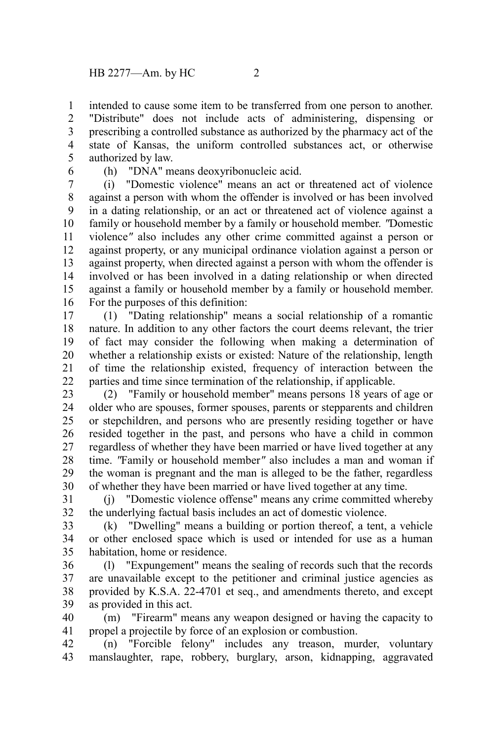intended to cause some item to be transferred from one person to another. "Distribute" does not include acts of administering, dispensing or prescribing a controlled substance as authorized by the pharmacy act of the state of Kansas, the uniform controlled substances act, or otherwise authorized by law. 1 2 3 4 5

6

(h) "DNA" means deoxyribonucleic acid.

(i) "Domestic violence" means an act or threatened act of violence against a person with whom the offender is involved or has been involved in a dating relationship, or an act or threatened act of violence against a family or household member by a family or household member. *"*Domestic violence*"* also includes any other crime committed against a person or against property, or any municipal ordinance violation against a person or against property, when directed against a person with whom the offender is involved or has been involved in a dating relationship or when directed against a family or household member by a family or household member. For the purposes of this definition: 7 8 9 10 11 12 13 14 15 16

(1) "Dating relationship" means a social relationship of a romantic nature. In addition to any other factors the court deems relevant, the trier of fact may consider the following when making a determination of whether a relationship exists or existed: Nature of the relationship, length of time the relationship existed, frequency of interaction between the parties and time since termination of the relationship, if applicable. 17 18 19 20 21 22

(2) "Family or household member" means persons 18 years of age or older who are spouses, former spouses, parents or stepparents and children or stepchildren, and persons who are presently residing together or have resided together in the past, and persons who have a child in common regardless of whether they have been married or have lived together at any time. *"*Family or household member*"* also includes a man and woman if the woman is pregnant and the man is alleged to be the father, regardless of whether they have been married or have lived together at any time. 23 24 25 26 27 28 29 30

(j) "Domestic violence offense" means any crime committed whereby the underlying factual basis includes an act of domestic violence. 31 32

(k) "Dwelling" means a building or portion thereof, a tent, a vehicle or other enclosed space which is used or intended for use as a human habitation, home or residence. 33 34 35

(l) "Expungement" means the sealing of records such that the records are unavailable except to the petitioner and criminal justice agencies as provided by K.S.A. 22-4701 et seq., and amendments thereto, and except as provided in this act. 36 37 38 39

(m) "Firearm" means any weapon designed or having the capacity to propel a projectile by force of an explosion or combustion. 40 41

(n) "Forcible felony" includes any treason, murder, voluntary manslaughter, rape, robbery, burglary, arson, kidnapping, aggravated 42 43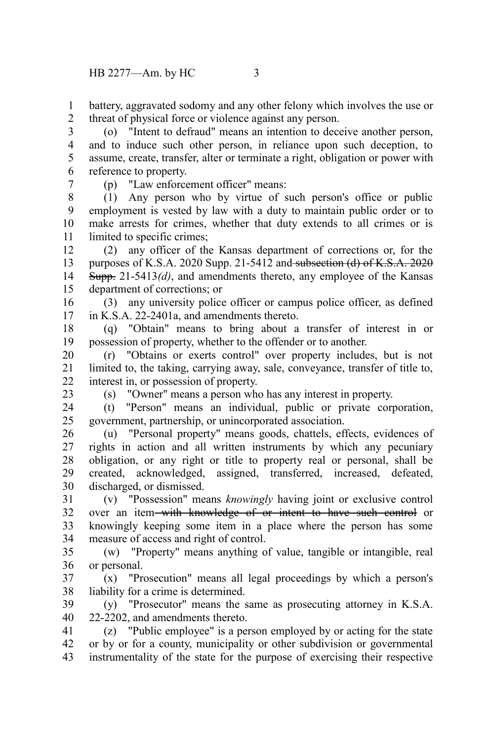battery, aggravated sodomy and any other felony which involves the use or threat of physical force or violence against any person. 1 2

(o) "Intent to defraud" means an intention to deceive another person, and to induce such other person, in reliance upon such deception, to assume, create, transfer, alter or terminate a right, obligation or power with reference to property. 3 4 5 6

7

(p) "Law enforcement officer" means:

(1) Any person who by virtue of such person's office or public employment is vested by law with a duty to maintain public order or to make arrests for crimes, whether that duty extends to all crimes or is limited to specific crimes; 8 9 10 11

(2) any officer of the Kansas department of corrections or, for the purposes of K.S.A. 2020 Supp. 21-5412 and subsection (d) of K.S.A.  $2020$ Supp. 21-5413*(d)*, and amendments thereto, any employee of the Kansas department of corrections; or 12 13 14 15

(3) any university police officer or campus police officer, as defined in K.S.A. 22-2401a, and amendments thereto. 16 17

(q) "Obtain" means to bring about a transfer of interest in or possession of property, whether to the offender or to another. 18 19

(r) "Obtains or exerts control" over property includes, but is not limited to, the taking, carrying away, sale, conveyance, transfer of title to, interest in, or possession of property. 20 21 22

23

(s) "Owner" means a person who has any interest in property.

(t) "Person" means an individual, public or private corporation, government, partnership, or unincorporated association. 24 25

(u) "Personal property" means goods, chattels, effects, evidences of rights in action and all written instruments by which any pecuniary obligation, or any right or title to property real or personal, shall be created, acknowledged, assigned, transferred, increased, defeated, discharged, or dismissed. 26 27 28 29 30

(v) "Possession" means *knowingly* having joint or exclusive control over an item with knowledge of or intent to have such control or knowingly keeping some item in a place where the person has some measure of access and right of control. 31 32 33 34

(w) "Property" means anything of value, tangible or intangible, real or personal. 35 36

(x) "Prosecution" means all legal proceedings by which a person's liability for a crime is determined. 37 38

(y) "Prosecutor" means the same as prosecuting attorney in K.S.A. 22-2202, and amendments thereto. 39 40

(z) "Public employee" is a person employed by or acting for the state or by or for a county, municipality or other subdivision or governmental instrumentality of the state for the purpose of exercising their respective 41 42 43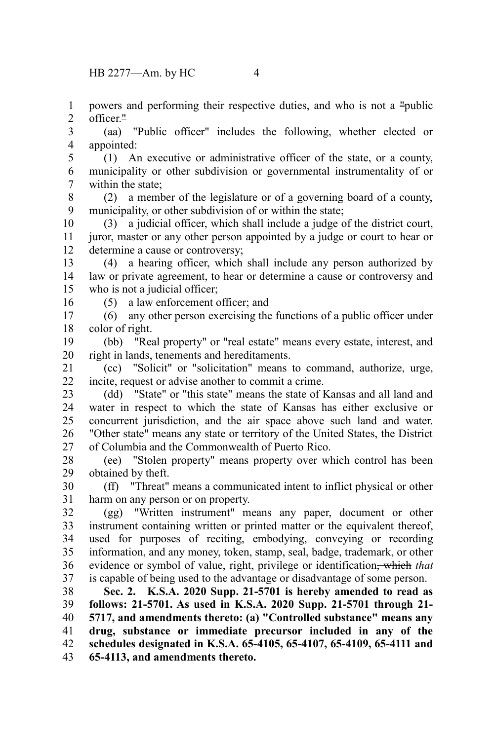powers and performing their respective duties, and who is not a "public officer<sup>"</sup> 1 2

(aa) "Public officer" includes the following, whether elected or appointed: 3 4

(1) An executive or administrative officer of the state, or a county, municipality or other subdivision or governmental instrumentality of or within the state; 5 6 7

(2) a member of the legislature or of a governing board of a county, municipality, or other subdivision of or within the state; 8 9

(3) a judicial officer, which shall include a judge of the district court, juror, master or any other person appointed by a judge or court to hear or determine a cause or controversy; 10 11 12

(4) a hearing officer, which shall include any person authorized by law or private agreement, to hear or determine a cause or controversy and who is not a judicial officer; 13 14 15

16

(5) a law enforcement officer; and

(6) any other person exercising the functions of a public officer under color of right. 17 18

(bb) "Real property" or "real estate" means every estate, interest, and right in lands, tenements and hereditaments. 19 20

(cc) "Solicit" or "solicitation" means to command, authorize, urge, incite, request or advise another to commit a crime. 21 22

(dd) "State" or "this state" means the state of Kansas and all land and water in respect to which the state of Kansas has either exclusive or concurrent jurisdiction, and the air space above such land and water. "Other state" means any state or territory of the United States, the District of Columbia and the Commonwealth of Puerto Rico. 23 24 25 26 27

(ee) "Stolen property" means property over which control has been obtained by theft. 28 29

(ff) "Threat" means a communicated intent to inflict physical or other harm on any person or on property. 30 31

(gg) "Written instrument" means any paper, document or other instrument containing written or printed matter or the equivalent thereof, used for purposes of reciting, embodying, conveying or recording information, and any money, token, stamp, seal, badge, trademark, or other evidence or symbol of value, right, privilege or identification, which *that* is capable of being used to the advantage or disadvantage of some person. 32 33 34 35 36 37

**Sec. 2. K.S.A. 2020 Supp. 21-5701 is hereby amended to read as follows: 21-5701. As used in K.S.A. 2020 Supp. 21-5701 through 21- 5717, and amendments thereto: (a) "Controlled substance" means any drug, substance or immediate precursor included in any of the schedules designated in K.S.A. 65-4105, 65-4107, 65-4109, 65-4111 and 65-4113, and amendments thereto.** 38 39 40 41 42 43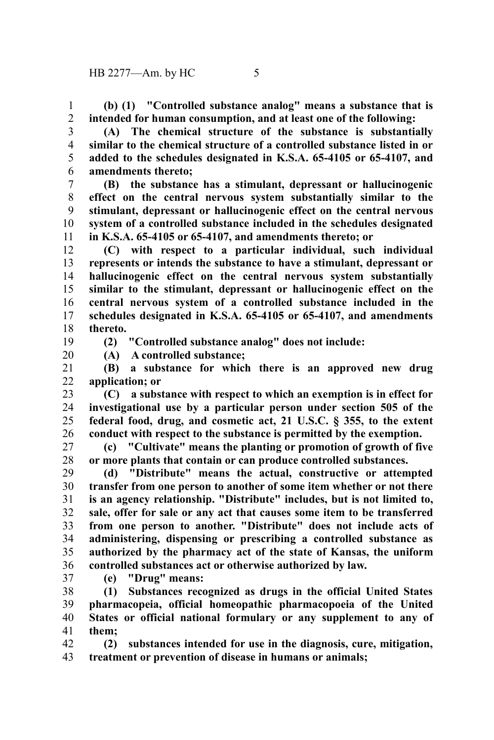**(b) (1) "Controlled substance analog" means a substance that is intended for human consumption, and at least one of the following:** 1 2

3 4

5 6

**(A) The chemical structure of the substance is substantially similar to the chemical structure of a controlled substance listed in or added to the schedules designated in K.S.A. 65-4105 or 65-4107, and amendments thereto;**

**(B) the substance has a stimulant, depressant or hallucinogenic effect on the central nervous system substantially similar to the stimulant, depressant or hallucinogenic effect on the central nervous system of a controlled substance included in the schedules designated in K.S.A. 65-4105 or 65-4107, and amendments thereto; or** 7 8 9 10 11

**(C) with respect to a particular individual, such individual represents or intends the substance to have a stimulant, depressant or hallucinogenic effect on the central nervous system substantially similar to the stimulant, depressant or hallucinogenic effect on the central nervous system of a controlled substance included in the schedules designated in K.S.A. 65-4105 or 65-4107, and amendments thereto.** 12 13 14 15 16 17 18

19

**(2) "Controlled substance analog" does not include:**

20

**(A) A controlled substance;**

**(B) a substance for which there is an approved new drug application; or** 21 22

**(C) a substance with respect to which an exemption is in effect for investigational use by a particular person under section 505 of the federal food, drug, and cosmetic act, 21 U.S.C. § 355, to the extent conduct with respect to the substance is permitted by the exemption.** 23 24 25 26

**(c) "Cultivate" means the planting or promotion of growth of five or more plants that contain or can produce controlled substances.** 27 28

**(d) "Distribute" means the actual, constructive or attempted transfer from one person to another of some item whether or not there is an agency relationship. "Distribute" includes, but is not limited to, sale, offer for sale or any act that causes some item to be transferred from one person to another. "Distribute" does not include acts of administering, dispensing or prescribing a controlled substance as authorized by the pharmacy act of the state of Kansas, the uniform controlled substances act or otherwise authorized by law.** 29 30 31 32 33 34 35 36

37

**(e) "Drug" means:**

**(1) Substances recognized as drugs in the official United States pharmacopeia, official homeopathic pharmacopoeia of the United States or official national formulary or any supplement to any of them;** 38 39 40 41

**(2) substances intended for use in the diagnosis, cure, mitigation, treatment or prevention of disease in humans or animals;** 42 43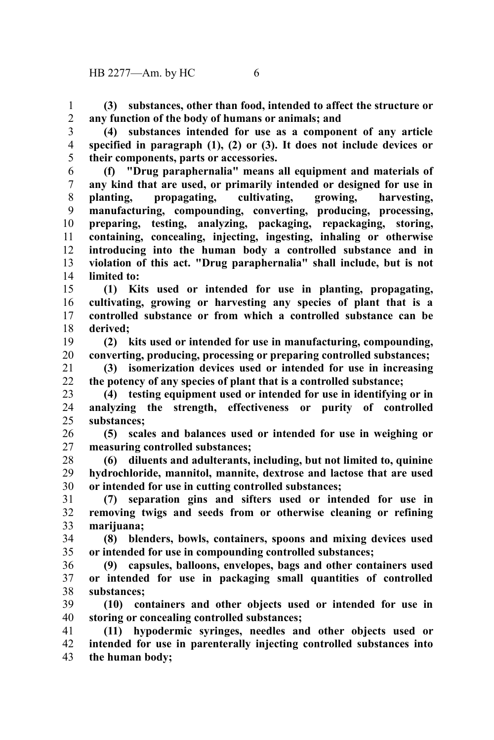**(3) substances, other than food, intended to affect the structure or any function of the body of humans or animals; and** 1 2

**(4) substances intended for use as a component of any article specified in paragraph (1), (2) or (3). It does not include devices or their components, parts or accessories.** 3 4 5

**(f) "Drug paraphernalia" means all equipment and materials of any kind that are used, or primarily intended or designed for use in planting, propagating, cultivating, growing, harvesting, manufacturing, compounding, converting, producing, processing, preparing, testing, analyzing, packaging, repackaging, storing, containing, concealing, injecting, ingesting, inhaling or otherwise introducing into the human body a controlled substance and in violation of this act. "Drug paraphernalia" shall include, but is not limited to:** 6 7 8 9 10 11 12 13 14

**(1) Kits used or intended for use in planting, propagating, cultivating, growing or harvesting any species of plant that is a controlled substance or from which a controlled substance can be derived;** 15 16 17 18

**(2) kits used or intended for use in manufacturing, compounding, converting, producing, processing or preparing controlled substances;** 19 20

**(3) isomerization devices used or intended for use in increasing the potency of any species of plant that is a controlled substance;** 21 22

**(4) testing equipment used or intended for use in identifying or in analyzing the strength, effectiveness or purity of controlled substances;** 23 24 25

**(5) scales and balances used or intended for use in weighing or measuring controlled substances;** 26 27

**(6) diluents and adulterants, including, but not limited to, quinine hydrochloride, mannitol, mannite, dextrose and lactose that are used or intended for use in cutting controlled substances;** 28 29 30

**(7) separation gins and sifters used or intended for use in removing twigs and seeds from or otherwise cleaning or refining marijuana;** 31 32 33

**(8) blenders, bowls, containers, spoons and mixing devices used or intended for use in compounding controlled substances;** 34 35

**(9) capsules, balloons, envelopes, bags and other containers used or intended for use in packaging small quantities of controlled substances;** 36 37 38

**(10) containers and other objects used or intended for use in storing or concealing controlled substances;** 39 40

**(11) hypodermic syringes, needles and other objects used or intended for use in parenterally injecting controlled substances into the human body;** 41 42 43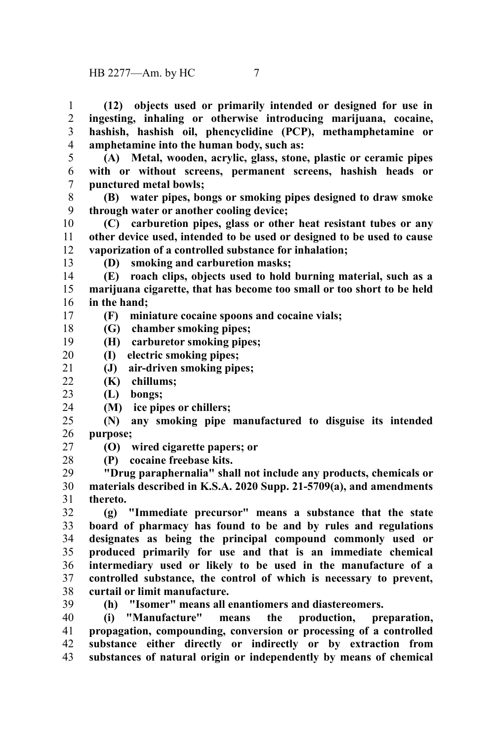**(12) objects used or primarily intended or designed for use in ingesting, inhaling or otherwise introducing marijuana, cocaine, hashish, hashish oil, phencyclidine (PCP), methamphetamine or amphetamine into the human body, such as:** 1 2 3 4

**(A) Metal, wooden, acrylic, glass, stone, plastic or ceramic pipes with or without screens, permanent screens, hashish heads or punctured metal bowls;** 5 6 7

**(B) water pipes, bongs or smoking pipes designed to draw smoke through water or another cooling device;** 8 9

**(C) carburetion pipes, glass or other heat resistant tubes or any other device used, intended to be used or designed to be used to cause vaporization of a controlled substance for inhalation;** 10 11 12

13

17

**(D) smoking and carburetion masks;**

**(E) roach clips, objects used to hold burning material, such as a marijuana cigarette, that has become too small or too short to be held in the hand;** 14 15 16

**(F) miniature cocaine spoons and cocaine vials;**

**(G) chamber smoking pipes;** 18

**(I) electric smoking pipes;** 20

**(J) air-driven smoking pipes;** 21

**(K) chillums;**  $22$ 

**(L) bongs;** 23

**(M) ice pipes or chillers;** 24

**(N) any smoking pipe manufactured to disguise its intended purpose;** 25 26

**(O) wired cigarette papers; or** 27

**(P) cocaine freebase kits.** 28

**"Drug paraphernalia" shall not include any products, chemicals or materials described in K.S.A. 2020 Supp. 21-5709(a), and amendments thereto.** 29 30 31

**(g) "Immediate precursor" means a substance that the state board of pharmacy has found to be and by rules and regulations designates as being the principal compound commonly used or produced primarily for use and that is an immediate chemical intermediary used or likely to be used in the manufacture of a controlled substance, the control of which is necessary to prevent, curtail or limit manufacture.** 32 33 34 35 36 37 38

39

**(h) "Isomer" means all enantiomers and diastereomers.**

**(i) "Manufacture" means the production, preparation, propagation, compounding, conversion or processing of a controlled substance either directly or indirectly or by extraction from substances of natural origin or independently by means of chemical** 40 41 42 43

**(H) carburetor smoking pipes;** 19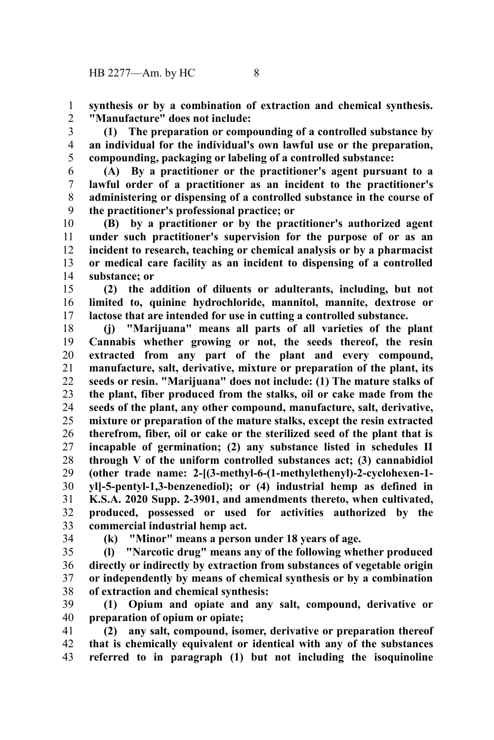**synthesis or by a combination of extraction and chemical synthesis. "Manufacture" does not include:** 1 2

**(1) The preparation or compounding of a controlled substance by an individual for the individual's own lawful use or the preparation, compounding, packaging or labeling of a controlled substance:** 3 4 5

**(A) By a practitioner or the practitioner's agent pursuant to a lawful order of a practitioner as an incident to the practitioner's administering or dispensing of a controlled substance in the course of the practitioner's professional practice; or** 6 7 8 9

**(B) by a practitioner or by the practitioner's authorized agent under such practitioner's supervision for the purpose of or as an incident to research, teaching or chemical analysis or by a pharmacist or medical care facility as an incident to dispensing of a controlled substance; or** 10 11 12 13 14

**(2) the addition of diluents or adulterants, including, but not limited to, quinine hydrochloride, mannitol, mannite, dextrose or lactose that are intended for use in cutting a controlled substance.** 15 16 17

**(j) "Marijuana" means all parts of all varieties of the plant Cannabis whether growing or not, the seeds thereof, the resin extracted from any part of the plant and every compound, manufacture, salt, derivative, mixture or preparation of the plant, its seeds or resin. "Marijuana" does not include: (1) The mature stalks of the plant, fiber produced from the stalks, oil or cake made from the seeds of the plant, any other compound, manufacture, salt, derivative, mixture or preparation of the mature stalks, except the resin extracted therefrom, fiber, oil or cake or the sterilized seed of the plant that is incapable of germination; (2) any substance listed in schedules II through V of the uniform controlled substances act; (3) cannabidiol (other trade name: 2-[(3-methyl-6-(1-methylethenyl)-2-cyclohexen-1 yl]-5-pentyl-1,3-benzenediol); or (4) industrial hemp as defined in K.S.A. 2020 Supp. 2-3901, and amendments thereto, when cultivated, produced, possessed or used for activities authorized by the commercial industrial hemp act.** 18 19 20 21 22 23 24 25 26 27 28 29 30 31 32 33

34

**(k) "Minor" means a person under 18 years of age.**

**(l) "Narcotic drug" means any of the following whether produced directly or indirectly by extraction from substances of vegetable origin or independently by means of chemical synthesis or by a combination of extraction and chemical synthesis:** 35 36 37 38

**(1) Opium and opiate and any salt, compound, derivative or preparation of opium or opiate;** 39 40

**(2) any salt, compound, isomer, derivative or preparation thereof that is chemically equivalent or identical with any of the substances referred to in paragraph (1) but not including the isoquinoline** 41 42 43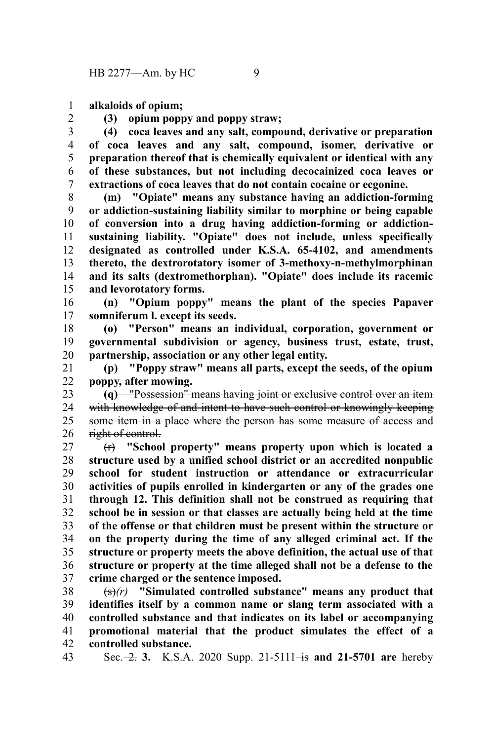**alkaloids of opium;** 1

2

**(3) opium poppy and poppy straw;**

**(4) coca leaves and any salt, compound, derivative or preparation of coca leaves and any salt, compound, isomer, derivative or preparation thereof that is chemically equivalent or identical with any of these substances, but not including decocainized coca leaves or extractions of coca leaves that do not contain cocaine or ecgonine.** 3 4 5 6 7

**(m) "Opiate" means any substance having an addiction-forming or addiction-sustaining liability similar to morphine or being capable of conversion into a drug having addiction-forming or addictionsustaining liability. "Opiate" does not include, unless specifically designated as controlled under K.S.A. 65-4102, and amendments thereto, the dextrorotatory isomer of 3-methoxy-n-methylmorphinan and its salts (dextromethorphan). "Opiate" does include its racemic and levorotatory forms.** 8 9 10 11 12 13 14 15

**(n) "Opium poppy" means the plant of the species Papaver somniferum l. except its seeds.** 16 17

**(o) "Person" means an individual, corporation, government or governmental subdivision or agency, business trust, estate, trust, partnership, association or any other legal entity.** 18 19 20

**(p) "Poppy straw" means all parts, except the seeds, of the opium poppy, after mowing.** 21 22

**(q)** "Possession" means having joint or exclusive control over an item with knowledge of and intent to have such control or knowingly keeping some item in a place where the person has some measure of access and right of control. 23 24 25 26

(r) **"School property" means property upon which is located a structure used by a unified school district or an accredited nonpublic school for student instruction or attendance or extracurricular activities of pupils enrolled in kindergarten or any of the grades one through 12. This definition shall not be construed as requiring that school be in session or that classes are actually being held at the time of the offense or that children must be present within the structure or on the property during the time of any alleged criminal act. If the structure or property meets the above definition, the actual use of that structure or property at the time alleged shall not be a defense to the crime charged or the sentence imposed.** 27 28 29 30 31 32 33 34 35 36 37

(s)*(r)* **"Simulated controlled substance" means any product that identifies itself by a common name or slang term associated with a controlled substance and that indicates on its label or accompanying promotional material that the product simulates the effect of a controlled substance.** 38 39 40 41 42

Sec. -2. 3. K.S.A. 2020 Supp. 21-5111 - is and 21-5701 are hereby 43